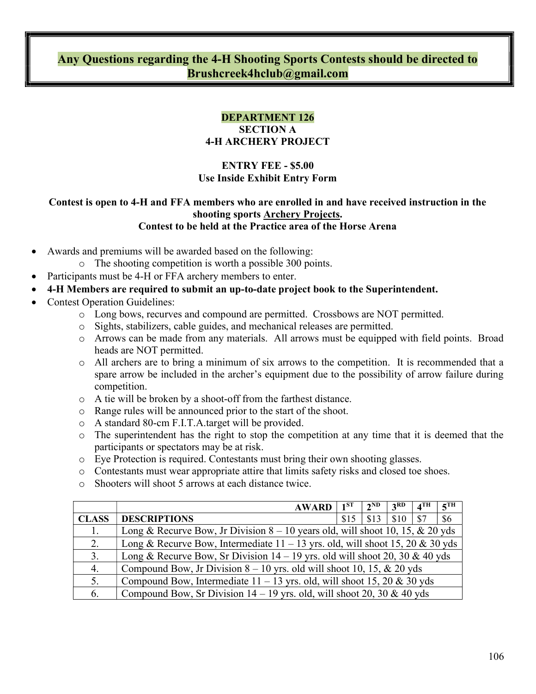# Any Questions regarding the 4-H Shooting Sports Contests should be directed to Brushcreek4hclub@gmail.com

# DEPARTMENT 126

#### SECTION A 4-H ARCHERY PROJECT

## ENTRY FEE - \$5.00 Use Inside Exhibit Entry Form

#### Contest is open to 4-H and FFA members who are enrolled in and have received instruction in the shooting sports Archery Projects. Contest to be held at the Practice area of the Horse Arena

- Awards and premiums will be awarded based on the following:
	- o The shooting competition is worth a possible 300 points.
- Participants must be 4-H or FFA archery members to enter.
- 4-H Members are required to submit an up-to-date project book to the Superintendent.
- Contest Operation Guidelines:
	- o Long bows, recurves and compound are permitted. Crossbows are NOT permitted.
	- o Sights, stabilizers, cable guides, and mechanical releases are permitted.
	- o Arrows can be made from any materials. All arrows must be equipped with field points. Broad heads are NOT permitted.
	- o All archers are to bring a minimum of six arrows to the competition. It is recommended that a spare arrow be included in the archer's equipment due to the possibility of arrow failure during competition.
	- o A tie will be broken by a shoot-off from the farthest distance.
	- o Range rules will be announced prior to the start of the shoot.
	- o A standard 80-cm F.I.T.A.target will be provided.
	- $\circ$  The superintendent has the right to stop the competition at any time that it is deemed that the participants or spectators may be at risk.
	- o Eye Protection is required. Contestants must bring their own shooting glasses.
	- o Contestants must wear appropriate attire that limits safety risks and closed toe shoes.
	- o Shooters will shoot 5 arrows at each distance twice.

|              | <b>AWARD</b>                                                                    | $1^{ST}$ | $2^{ND}$ | 3 <sup>RD</sup> | $4^{\text{TH}}$ | 5 <sup>TH</sup> |
|--------------|---------------------------------------------------------------------------------|----------|----------|-----------------|-----------------|-----------------|
| <b>CLASS</b> | <b>DESCRIPTIONS</b>                                                             | \$15     | \$13     | \$10            | \$7             | \$6             |
| 1.           | Long & Recurve Bow, Jr Division $8 - 10$ years old, will shoot 10, 15, & 20 yds |          |          |                 |                 |                 |
| 2.           | Long & Recurve Bow, Intermediate $11 - 13$ yrs. old, will shoot 15, 20 & 30 yds |          |          |                 |                 |                 |
| 3.           | Long & Recurve Bow, Sr Division $14 - 19$ yrs. old will shoot 20, 30 & 40 yds   |          |          |                 |                 |                 |
| 4.           | Compound Bow, Jr Division $8 - 10$ yrs. old will shoot 10, 15, & 20 yds         |          |          |                 |                 |                 |
| 5.           | Compound Bow, Intermediate $11 - 13$ yrs. old, will shoot 15, 20 & 30 yds       |          |          |                 |                 |                 |
| 6.           | Compound Bow, Sr Division $14 - 19$ yrs. old, will shoot 20, 30 & 40 yds        |          |          |                 |                 |                 |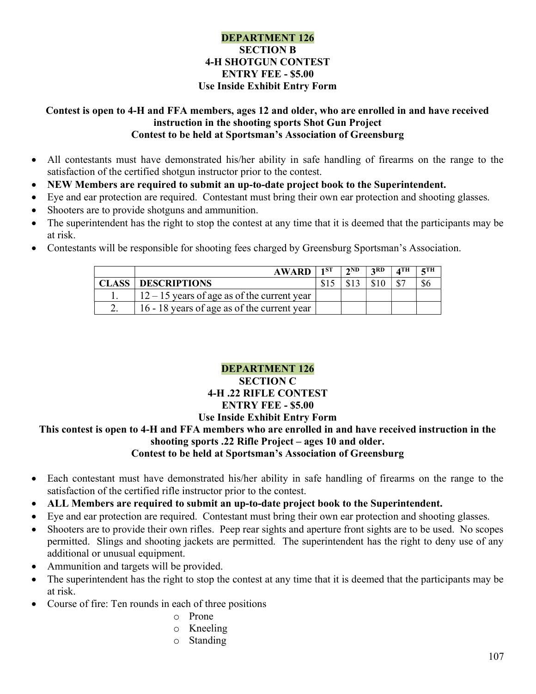#### DEPARTMENT 126 SECTION B 4-H SHOTGUN CONTEST ENTRY FEE - \$5.00 Use Inside Exhibit Entry Form

#### Contest is open to 4-H and FFA members, ages 12 and older, who are enrolled in and have received instruction in the shooting sports Shot Gun Project Contest to be held at Sportsman's Association of Greensburg

- All contestants must have demonstrated his/her ability in safe handling of firearms on the range to the satisfaction of the certified shotgun instructor prior to the contest.
- NEW Members are required to submit an up-to-date project book to the Superintendent.
- Eye and ear protection are required. Contestant must bring their own ear protection and shooting glasses.
- Shooters are to provide shotguns and ammunition.
- The superintendent has the right to stop the contest at any time that it is deemed that the participants may be at risk.
- Contestants will be responsible for shooting fees charged by Greensburg Sportsman's Association.

|        | <b>AWARD</b>                                  | 1ST | 2ND | 2RD | ⊿TH | $\epsilon$ TH |
|--------|-----------------------------------------------|-----|-----|-----|-----|---------------|
| CLASS- | <b>DESCRIPTIONS</b>                           |     |     |     |     |               |
|        | $12 - 15$ years of age as of the current year |     |     |     |     |               |
| ـ ت    | 16 - 18 years of age as of the current year   |     |     |     |     |               |

## DEPARTMENT 126

#### SECTION C 4-H .22 RIFLE CONTEST ENTRY FEE - \$5.00 Use Inside Exhibit Entry Form

#### This contest is open to 4-H and FFA members who are enrolled in and have received instruction in the shooting sports .22 Rifle Project – ages 10 and older. Contest to be held at Sportsman's Association of Greensburg

- Each contestant must have demonstrated his/her ability in safe handling of firearms on the range to the satisfaction of the certified rifle instructor prior to the contest.
- ALL Members are required to submit an up-to-date project book to the Superintendent.
- Eye and ear protection are required. Contestant must bring their own ear protection and shooting glasses.
- Shooters are to provide their own rifles. Peep rear sights and aperture front sights are to be used. No scopes permitted. Slings and shooting jackets are permitted. The superintendent has the right to deny use of any additional or unusual equipment.
- Ammunition and targets will be provided.
- The superintendent has the right to stop the contest at any time that it is deemed that the participants may be at risk.
- Course of fire: Ten rounds in each of three positions
	- o Prone
	- o Kneeling
	- o Standing